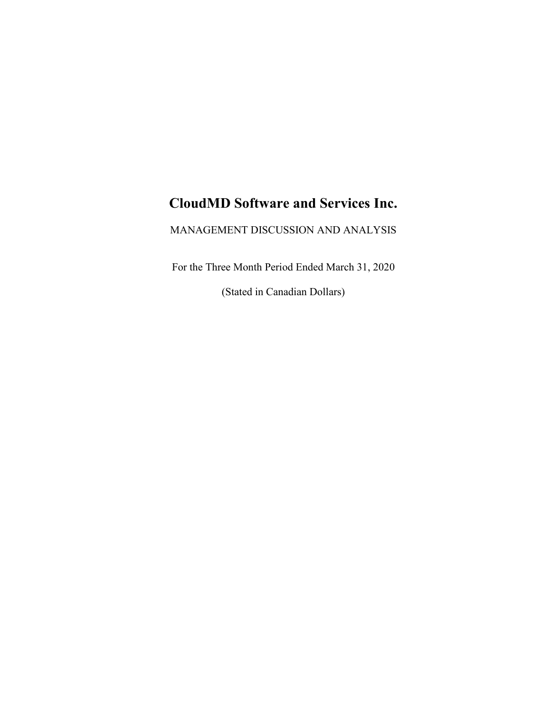# **CloudMD Software and Services Inc.**

MANAGEMENT DISCUSSION AND ANALYSIS

For the Three Month Period Ended March 31, 2020

(Stated in Canadian Dollars)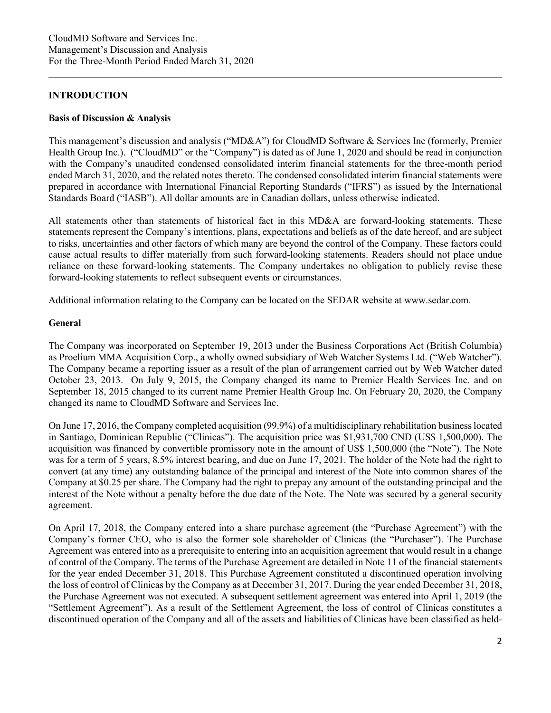## **INTRODUCTION**

#### **Basis of Discussion & Analysis**

This management's discussion and analysis ("MD&A") for CloudMD Software & Services Inc (formerly, Premier Health Group Inc.). ("CloudMD" or the "Company") is dated as of June 1, 2020 and should be read in conjunction with the Company's unaudited condensed consolidated interim financial statements for the three-month period ended March 31, 2020, and the related notes thereto. The condensed consolidated interim financial statements were prepared in accordance with International Financial Reporting Standards ("IFRS") as issued by the International Standards Board ("IASB"). All dollar amounts are in Canadian dollars, unless otherwise indicated.

All statements other than statements of historical fact in this MD&A are forward-looking statements. These statements represent the Company's intentions, plans, expectations and beliefs as of the date hereof, and are subject to risks, uncertainties and other factors of which many are beyond the control of the Company. These factors could cause actual results to differ materially from such forward-looking statements. Readers should not place undue reliance on these forward-looking statements. The Company undertakes no obligation to publicly revise these forward-looking statements to reflect subsequent events or circumstances.

Additional information relating to the Company can be located on the SEDAR website at www.sedar.com.

#### **General**

The Company was incorporated on September 19, 2013 under the Business Corporations Act (British Columbia) as Proelium MMA Acquisition Corp., a wholly owned subsidiary of Web Watcher Systems Ltd. ("Web Watcher"). The Company became a reporting issuer as a result of the plan of arrangement carried out by Web Watcher dated October 23, 2013. On July 9, 2015, the Company changed its name to Premier Health Services Inc. and on September 18, 2015 changed to its current name Premier Health Group Inc. On February 20, 2020, the Company changed its name to CloudMD Software and Services Inc.

On June 17, 2016, the Company completed acquisition (99.9%) of a multidisciplinary rehabilitation business located in Santiago, Dominican Republic ("Clinicas"). The acquisition price was \$1,931,700 CND (US\$ 1,500,000). The acquisition was financed by convertible promissory note in the amount of US\$ 1,500,000 (the "Note"). The Note was for a term of 5 years, 8.5% interest bearing, and due on June 17, 2021. The holder of the Note had the right to convert (at any time) any outstanding balance of the principal and interest of the Note into common shares of the Company at \$0.25 per share. The Company had the right to prepay any amount of the outstanding principal and the interest of the Note without a penalty before the due date of the Note. The Note was secured by a general security agreement.

On April 17, 2018, the Company entered into a share purchase agreement (the "Purchase Agreement") with the Company's former CEO, who is also the former sole shareholder of Clinicas (the "Purchaser"). The Purchase Agreement was entered into as a prerequisite to entering into an acquisition agreement that would result in a change of control of the Company. The terms of the Purchase Agreement are detailed in Note 11 of the financial statements for the year ended December 31, 2018. This Purchase Agreement constituted a discontinued operation involving the loss of control of Clinicas by the Company as at December 31, 2017. During the year ended December 31, 2018, the Purchase Agreement was not executed. A subsequent settlement agreement was entered into April 1, 2019 (the "Settlement Agreement"). As a result of the Settlement Agreement, the loss of control of Clinicas constitutes a discontinued operation of the Company and all of the assets and liabilities of Clinicas have been classified as held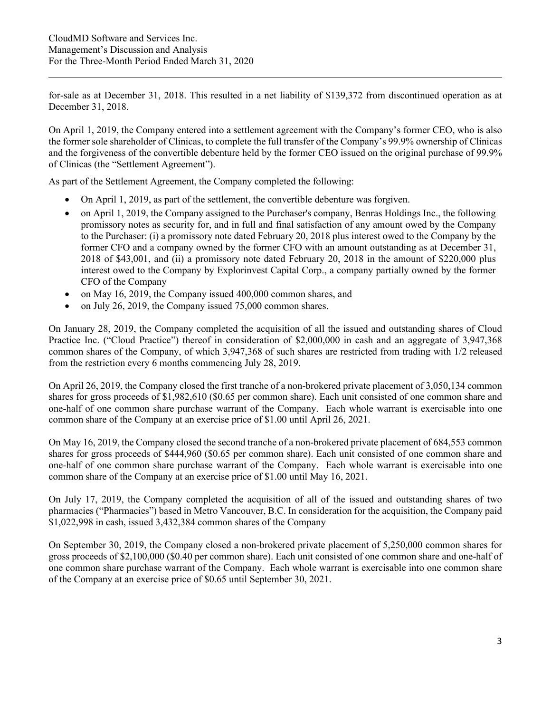for-sale as at December 31, 2018. This resulted in a net liability of \$139,372 from discontinued operation as at December 31, 2018.

On April 1, 2019, the Company entered into a settlement agreement with the Company's former CEO, who is also the former sole shareholder of Clinicas, to complete the full transfer of the Company's 99.9% ownership of Clinicas and the forgiveness of the convertible debenture held by the former CEO issued on the original purchase of 99.9% of Clinicas (the "Settlement Agreement").

As part of the Settlement Agreement, the Company completed the following:

- On April 1, 2019, as part of the settlement, the convertible debenture was forgiven.
- on April 1, 2019, the Company assigned to the Purchaser's company, Benras Holdings Inc., the following promissory notes as security for, and in full and final satisfaction of any amount owed by the Company to the Purchaser: (i) a promissory note dated February 20, 2018 plus interest owed to the Company by the former CFO and a company owned by the former CFO with an amount outstanding as at December 31, 2018 of \$43,001, and (ii) a promissory note dated February 20, 2018 in the amount of \$220,000 plus interest owed to the Company by Explorinvest Capital Corp., a company partially owned by the former CFO of the Company
- on May 16, 2019, the Company issued 400,000 common shares, and
- on July 26, 2019, the Company issued 75,000 common shares.

On January 28, 2019, the Company completed the acquisition of all the issued and outstanding shares of Cloud Practice Inc. ("Cloud Practice") thereof in consideration of \$2,000,000 in cash and an aggregate of 3,947,368 common shares of the Company, of which 3,947,368 of such shares are restricted from trading with 1/2 released from the restriction every 6 months commencing July 28, 2019.

On April 26, 2019, the Company closed the first tranche of a non-brokered private placement of 3,050,134 common shares for gross proceeds of \$1,982,610 (\$0.65 per common share). Each unit consisted of one common share and one-half of one common share purchase warrant of the Company. Each whole warrant is exercisable into one common share of the Company at an exercise price of \$1.00 until April 26, 2021.

On May 16, 2019, the Company closed the second tranche of a non-brokered private placement of 684,553 common shares for gross proceeds of \$444,960 (\$0.65 per common share). Each unit consisted of one common share and one-half of one common share purchase warrant of the Company. Each whole warrant is exercisable into one common share of the Company at an exercise price of \$1.00 until May 16, 2021.

On July 17, 2019, the Company completed the acquisition of all of the issued and outstanding shares of two pharmacies ("Pharmacies") based in Metro Vancouver, B.C. In consideration for the acquisition, the Company paid \$1,022,998 in cash, issued 3,432,384 common shares of the Company

On September 30, 2019, the Company closed a non-brokered private placement of 5,250,000 common shares for gross proceeds of \$2,100,000 (\$0.40 per common share). Each unit consisted of one common share and one-half of one common share purchase warrant of the Company. Each whole warrant is exercisable into one common share of the Company at an exercise price of \$0.65 until September 30, 2021.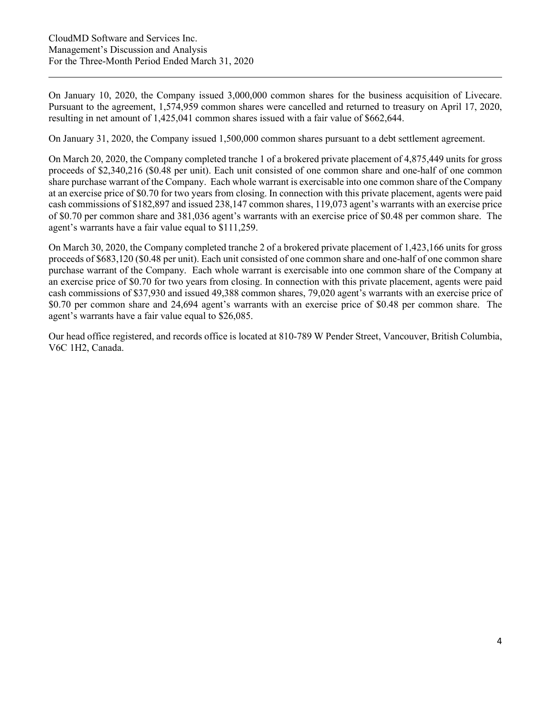On January 10, 2020, the Company issued 3,000,000 common shares for the business acquisition of Livecare. Pursuant to the agreement, 1,574,959 common shares were cancelled and returned to treasury on April 17, 2020, resulting in net amount of 1,425,041 common shares issued with a fair value of \$662,644.

On January 31, 2020, the Company issued 1,500,000 common shares pursuant to a debt settlement agreement.

On March 20, 2020, the Company completed tranche 1 of a brokered private placement of 4,875,449 units for gross proceeds of \$2,340,216 (\$0.48 per unit). Each unit consisted of one common share and one-half of one common share purchase warrant of the Company. Each whole warrant is exercisable into one common share of the Company at an exercise price of \$0.70 for two years from closing. In connection with this private placement, agents were paid cash commissions of \$182,897 and issued 238,147 common shares, 119,073 agent's warrants with an exercise price of \$0.70 per common share and 381,036 agent's warrants with an exercise price of \$0.48 per common share. The agent's warrants have a fair value equal to \$111,259.

On March 30, 2020, the Company completed tranche 2 of a brokered private placement of 1,423,166 units for gross proceeds of \$683,120 (\$0.48 per unit). Each unit consisted of one common share and one-half of one common share purchase warrant of the Company. Each whole warrant is exercisable into one common share of the Company at an exercise price of \$0.70 for two years from closing. In connection with this private placement, agents were paid cash commissions of \$37,930 and issued 49,388 common shares, 79,020 agent's warrants with an exercise price of \$0.70 per common share and 24,694 agent's warrants with an exercise price of \$0.48 per common share. The agent's warrants have a fair value equal to \$26,085.

Our head office registered, and records office is located at 810-789 W Pender Street, Vancouver, British Columbia, V6C 1H2, Canada.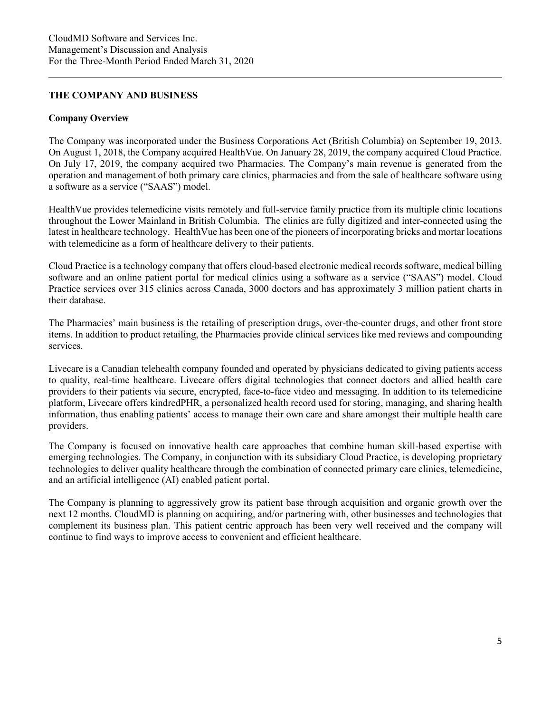## **THE COMPANY AND BUSINESS**

#### **Company Overview**

The Company was incorporated under the Business Corporations Act (British Columbia) on September 19, 2013. On August 1, 2018, the Company acquired HealthVue. On January 28, 2019, the company acquired Cloud Practice. On July 17, 2019, the company acquired two Pharmacies. The Company's main revenue is generated from the operation and management of both primary care clinics, pharmacies and from the sale of healthcare software using a software as a service ("SAAS") model.

HealthVue provides telemedicine visits remotely and full-service family practice from its multiple clinic locations throughout the Lower Mainland in British Columbia. The clinics are fully digitized and inter-connected using the latest in healthcare technology. HealthVue has been one of the pioneers of incorporating bricks and mortar locations with telemedicine as a form of healthcare delivery to their patients.

Cloud Practice is a technology company that offers cloud-based electronic medical records software, medical billing software and an online patient portal for medical clinics using a software as a service ("SAAS") model. Cloud Practice services over 315 clinics across Canada, 3000 doctors and has approximately 3 million patient charts in their database.

The Pharmacies' main business is the retailing of prescription drugs, over-the-counter drugs, and other front store items. In addition to product retailing, the Pharmacies provide clinical services like med reviews and compounding services.

Livecare is a Canadian telehealth company founded and operated by physicians dedicated to giving patients access to quality, real-time healthcare. Livecare offers digital technologies that connect doctors and allied health care providers to their patients via secure, encrypted, face-to-face video and messaging. In addition to its telemedicine platform, Livecare offers kindredPHR, a personalized health record used for storing, managing, and sharing health information, thus enabling patients' access to manage their own care and share amongst their multiple health care providers.

The Company is focused on innovative health care approaches that combine human skill-based expertise with emerging technologies. The Company, in conjunction with its subsidiary Cloud Practice, is developing proprietary technologies to deliver quality healthcare through the combination of connected primary care clinics, telemedicine, and an artificial intelligence (AI) enabled patient portal.

The Company is planning to aggressively grow its patient base through acquisition and organic growth over the next 12 months. CloudMD is planning on acquiring, and/or partnering with, other businesses and technologies that complement its business plan. This patient centric approach has been very well received and the company will continue to find ways to improve access to convenient and efficient healthcare.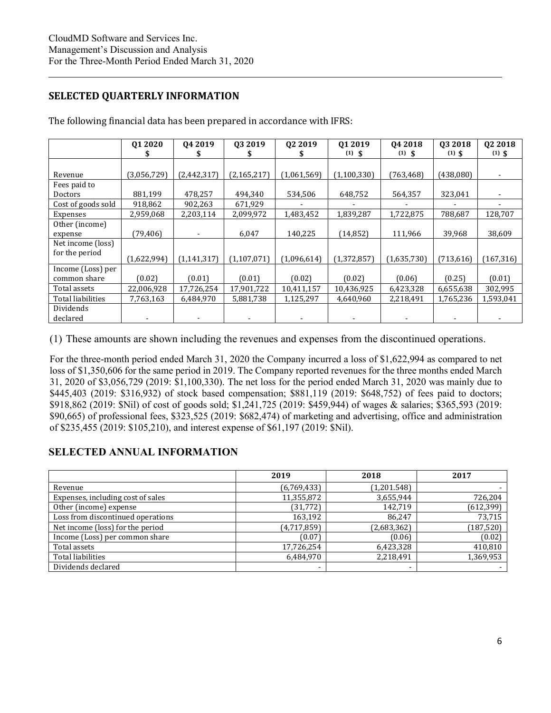## **SELECTED QUARTERLY INFORMATION**

|                    | Q1 2020     | Q4 2019       | 03 2019       | 02 2019     | Q1 2019     | 04 2018     | Q3 2018    | Q <sub>2</sub> 2018 |
|--------------------|-------------|---------------|---------------|-------------|-------------|-------------|------------|---------------------|
|                    | S           |               |               |             | $(1)$ \$    | $(1)$ \$    | $(1)$ \$   | $(1)$ \$            |
|                    |             |               |               |             |             |             |            |                     |
| Revenue            | (3,056,729) | (2, 442, 317) | (2, 165, 217) | (1,061,569) | (1,100,330) | (763, 468)  | (438,080)  |                     |
| Fees paid to       |             |               |               |             |             |             |            |                     |
| Doctors            | 881,199     | 478,257       | 494,340       | 534,506     | 648,752     | 564,357     | 323,041    |                     |
| Cost of goods sold | 918,862     | 902,263       | 671,929       |             |             |             |            |                     |
| Expenses           | 2,959,068   | 2,203,114     | 2,099,972     | 1,483,452   | 1,839,287   | 1,722,875   | 788,687    | 128,707             |
| Other (income)     |             |               |               |             |             |             |            |                     |
| expense            | (79,406)    |               | 6,047         | 140,225     | (14, 852)   | 111,966     | 39,968     | 38,609              |
| Net income (loss)  |             |               |               |             |             |             |            |                     |
| for the period     | (1,622,994) | (1, 141, 317) | (1, 107, 071) | (1,096,614) | (1,372,857) | (1,635,730) | (713, 616) | (167, 316)          |
| Income (Loss) per  |             |               |               |             |             |             |            |                     |
| common share       | (0.02)      | (0.01)        | (0.01)        | (0.02)      | (0.02)      | (0.06)      | (0.25)     | (0.01)              |
| Total assets       | 22,006,928  | 17,726,254    | 17,901,722    | 10,411,157  | 10,436,925  | 6,423,328   | 6,655,638  | 302,995             |
| Total liabilities  | 7,763,163   | 6,484,970     | 5,881,738     | 1,125,297   | 4,640,960   | 2,218,491   | 1,765,236  | 1,593,041           |
| Dividends          |             |               |               |             |             |             |            |                     |
| declared           |             |               |               |             |             |             |            |                     |

The following financial data has been prepared in accordance with IFRS:

(1) These amounts are shown including the revenues and expenses from the discontinued operations.

For the three-month period ended March 31, 2020 the Company incurred a loss of \$1,622,994 as compared to net loss of \$1,350,606 for the same period in 2019. The Company reported revenues for the three months ended March 31, 2020 of \$3,056,729 (2019: \$1,100,330). The net loss for the period ended March 31, 2020 was mainly due to \$445,403 (2019: \$316,932) of stock based compensation; \$881,119 (2019: \$648,752) of fees paid to doctors; \$918,862 (2019: \$Nil) of cost of goods sold; \$1,241,725 (2019: \$459,944) of wages & salaries; \$365,593 (2019: \$90,665) of professional fees, \$323,525 (2019: \$682,474) of marketing and advertising, office and administration of \$235,455 (2019: \$105,210), and interest expense of \$61,197 (2019: \$Nil).

# **SELECTED ANNUAL INFORMATION**

|                                   | 2019           | 2018        | 2017       |
|-----------------------------------|----------------|-------------|------------|
| Revenue                           | (6,769,433)    | (1,201.548) |            |
| Expenses, including cost of sales | 11,355,872     | 3,655,944   | 726,204    |
| Other (income) expense            | (31,772)       | 142,719     | (612, 399) |
| Loss from discontinued operations | 163,192        | 86.247      | 73,715     |
| Net income (loss) for the period  | (4,717,859)    | (2,683,362) | (187, 520) |
| Income (Loss) per common share    | (0.07)         | (0.06)      | (0.02)     |
| Total assets                      | 17,726,254     | 6,423,328   | 410,810    |
| Total liabilities                 | 6,484,970      | 2,218,491   | 1,369,953  |
| Dividends declared                | $\blacksquare$ |             |            |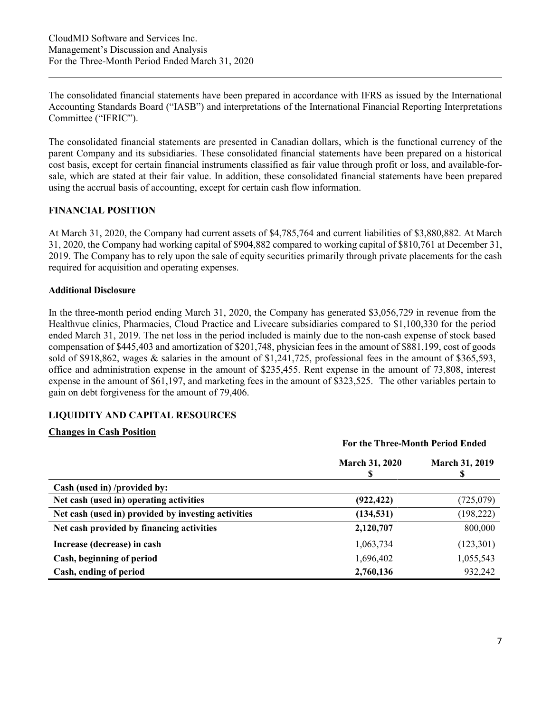The consolidated financial statements have been prepared in accordance with IFRS as issued by the International Accounting Standards Board ("IASB") and interpretations of the International Financial Reporting Interpretations Committee ("IFRIC").

The consolidated financial statements are presented in Canadian dollars, which is the functional currency of the parent Company and its subsidiaries. These consolidated financial statements have been prepared on a historical cost basis, except for certain financial instruments classified as fair value through profit or loss, and available-forsale, which are stated at their fair value. In addition, these consolidated financial statements have been prepared using the accrual basis of accounting, except for certain cash flow information.

## **FINANCIAL POSITION**

At March 31, 2020, the Company had current assets of \$4,785,764 and current liabilities of \$3,880,882. At March 31, 2020, the Company had working capital of \$904,882 compared to working capital of \$810,761 at December 31, 2019. The Company has to rely upon the sale of equity securities primarily through private placements for the cash required for acquisition and operating expenses.

#### **Additional Disclosure**

In the three-month period ending March 31, 2020, the Company has generated \$3,056,729 in revenue from the Healthvue clinics, Pharmacies, Cloud Practice and Livecare subsidiaries compared to \$1,100,330 for the period ended March 31, 2019. The net loss in the period included is mainly due to the non-cash expense of stock based compensation of \$445,403 and amortization of \$201,748, physician fees in the amount of \$881,199, cost of goods sold of \$918,862, wages & salaries in the amount of \$1,241,725, professional fees in the amount of \$365,593, office and administration expense in the amount of \$235,455. Rent expense in the amount of 73,808, interest expense in the amount of \$61,197, and marketing fees in the amount of \$323,525. The other variables pertain to gain on debt forgiveness for the amount of 79,406.

## **LIQUIDITY AND CAPITAL RESOURCES**

#### **Changes in Cash Position**

|                                                     | For the Three-Month Period Ended |                       |  |
|-----------------------------------------------------|----------------------------------|-----------------------|--|
|                                                     | <b>March 31, 2020</b>            | <b>March 31, 2019</b> |  |
| Cash (used in) /provided by:                        |                                  |                       |  |
| Net cash (used in) operating activities             | (922, 422)                       | (725, 079)            |  |
| Net cash (used in) provided by investing activities | (134, 531)                       | (198, 222)            |  |
| Net cash provided by financing activities           | 2,120,707                        | 800,000               |  |
| Increase (decrease) in cash                         | 1,063,734                        | (123, 301)            |  |
| Cash, beginning of period                           | 1,696,402                        | 1,055,543             |  |
| Cash, ending of period                              | 2,760,136                        | 932,242               |  |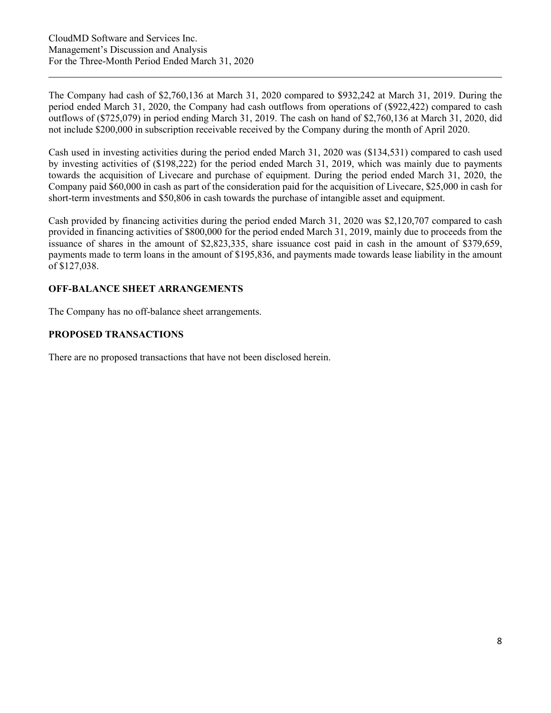The Company had cash of \$2,760,136 at March 31, 2020 compared to \$932,242 at March 31, 2019. During the period ended March 31, 2020, the Company had cash outflows from operations of (\$922,422) compared to cash outflows of (\$725,079) in period ending March 31, 2019. The cash on hand of \$2,760,136 at March 31, 2020, did not include \$200,000 in subscription receivable received by the Company during the month of April 2020.

Cash used in investing activities during the period ended March 31, 2020 was (\$134,531) compared to cash used by investing activities of (\$198,222) for the period ended March 31, 2019, which was mainly due to payments towards the acquisition of Livecare and purchase of equipment. During the period ended March 31, 2020, the Company paid \$60,000 in cash as part of the consideration paid for the acquisition of Livecare, \$25,000 in cash for short-term investments and \$50,806 in cash towards the purchase of intangible asset and equipment.

Cash provided by financing activities during the period ended March 31, 2020 was \$2,120,707 compared to cash provided in financing activities of \$800,000 for the period ended March 31, 2019, mainly due to proceeds from the issuance of shares in the amount of \$2,823,335, share issuance cost paid in cash in the amount of \$379,659, payments made to term loans in the amount of \$195,836, and payments made towards lease liability in the amount of \$127,038.

## **OFF-BALANCE SHEET ARRANGEMENTS**

The Company has no off-balance sheet arrangements.

## **PROPOSED TRANSACTIONS**

There are no proposed transactions that have not been disclosed herein.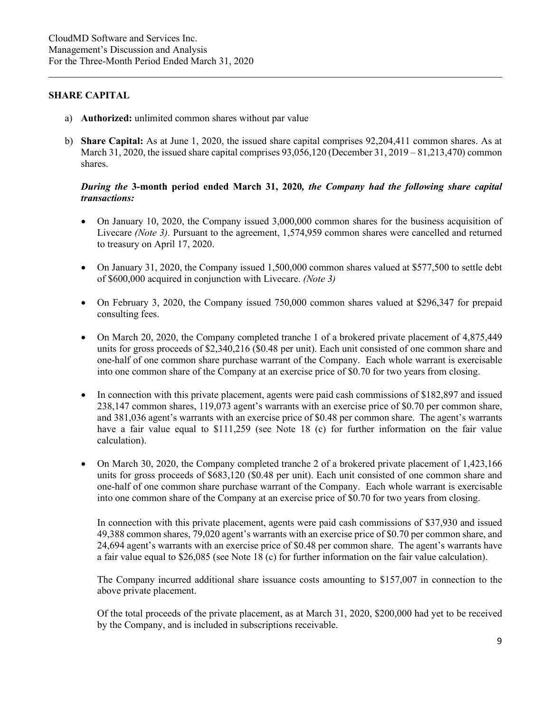#### **SHARE CAPITAL**

- a) **Authorized:** unlimited common shares without par value
- b) **Share Capital:** As at June 1, 2020, the issued share capital comprises 92,204,411 common shares. As at March 31, 2020, the issued share capital comprises 93,056,120 (December 31, 2019 – 81,213,470) common shares.

## *During the* **3-month period ended March 31, 2020***, the Company had the following share capital transactions:*

- On January 10, 2020, the Company issued 3,000,000 common shares for the business acquisition of Livecare *(Note 3)*. Pursuant to the agreement, 1,574,959 common shares were cancelled and returned to treasury on April 17, 2020.
- On January 31, 2020, the Company issued 1,500,000 common shares valued at \$577,500 to settle debt of \$600,000 acquired in conjunction with Livecare. *(Note 3)*
- On February 3, 2020, the Company issued 750,000 common shares valued at \$296,347 for prepaid consulting fees.
- On March 20, 2020, the Company completed tranche 1 of a brokered private placement of 4,875,449 units for gross proceeds of \$2,340,216 (\$0.48 per unit). Each unit consisted of one common share and one-half of one common share purchase warrant of the Company. Each whole warrant is exercisable into one common share of the Company at an exercise price of \$0.70 for two years from closing.
- In connection with this private placement, agents were paid cash commissions of \$182,897 and issued 238,147 common shares, 119,073 agent's warrants with an exercise price of \$0.70 per common share, and 381,036 agent's warrants with an exercise price of \$0.48 per common share. The agent's warrants have a fair value equal to \$111,259 (see Note 18 (c) for further information on the fair value calculation).
- On March 30, 2020, the Company completed tranche 2 of a brokered private placement of 1,423,166 units for gross proceeds of \$683,120 (\$0.48 per unit). Each unit consisted of one common share and one-half of one common share purchase warrant of the Company. Each whole warrant is exercisable into one common share of the Company at an exercise price of \$0.70 for two years from closing.

In connection with this private placement, agents were paid cash commissions of \$37,930 and issued 49,388 common shares, 79,020 agent's warrants with an exercise price of \$0.70 per common share, and 24,694 agent's warrants with an exercise price of \$0.48 per common share. The agent's warrants have a fair value equal to \$26,085 (see Note 18 (c) for further information on the fair value calculation).

The Company incurred additional share issuance costs amounting to \$157,007 in connection to the above private placement.

Of the total proceeds of the private placement, as at March 31, 2020, \$200,000 had yet to be received by the Company, and is included in subscriptions receivable.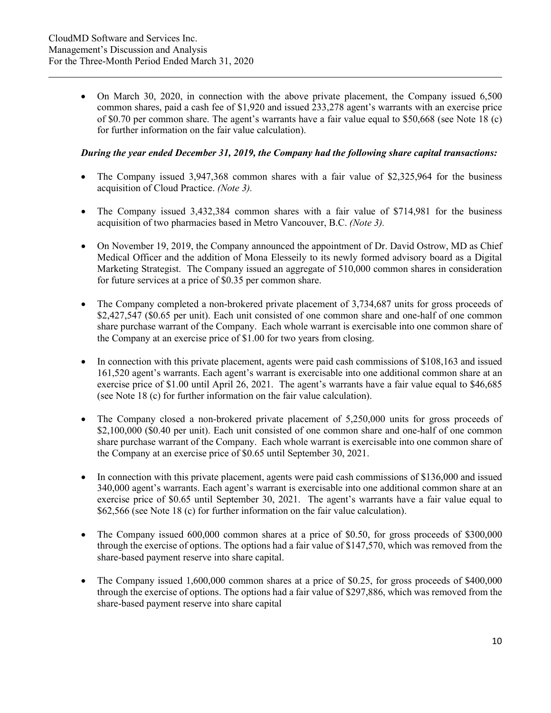• On March 30, 2020, in connection with the above private placement, the Company issued 6,500 common shares, paid a cash fee of \$1,920 and issued 233,278 agent's warrants with an exercise price of \$0.70 per common share. The agent's warrants have a fair value equal to \$50,668 (see Note 18 (c) for further information on the fair value calculation).

### *During the year ended December 31, 2019, the Company had the following share capital transactions:*

- The Company issued 3,947,368 common shares with a fair value of \$2,325,964 for the business acquisition of Cloud Practice. *(Note 3).*
- The Company issued 3,432,384 common shares with a fair value of \$714,981 for the business acquisition of two pharmacies based in Metro Vancouver, B.C. *(Note 3).*
- On November 19, 2019, the Company announced the appointment of Dr. David Ostrow, MD as Chief Medical Officer and the addition of Mona Elesseily to its newly formed advisory board as a Digital Marketing Strategist. The Company issued an aggregate of 510,000 common shares in consideration for future services at a price of \$0.35 per common share.
- The Company completed a non-brokered private placement of 3,734,687 units for gross proceeds of \$2,427,547 (\$0.65 per unit). Each unit consisted of one common share and one-half of one common share purchase warrant of the Company. Each whole warrant is exercisable into one common share of the Company at an exercise price of \$1.00 for two years from closing.
- In connection with this private placement, agents were paid cash commissions of \$108,163 and issued 161,520 agent's warrants. Each agent's warrant is exercisable into one additional common share at an exercise price of \$1.00 until April 26, 2021. The agent's warrants have a fair value equal to \$46,685 (see Note 18 (c) for further information on the fair value calculation).
- The Company closed a non-brokered private placement of 5,250,000 units for gross proceeds of \$2,100,000 (\$0.40 per unit). Each unit consisted of one common share and one-half of one common share purchase warrant of the Company. Each whole warrant is exercisable into one common share of the Company at an exercise price of \$0.65 until September 30, 2021.
- In connection with this private placement, agents were paid cash commissions of \$136,000 and issued 340,000 agent's warrants. Each agent's warrant is exercisable into one additional common share at an exercise price of \$0.65 until September 30, 2021. The agent's warrants have a fair value equal to \$62,566 (see Note 18 (c) for further information on the fair value calculation).
- The Company issued 600,000 common shares at a price of \$0.50, for gross proceeds of \$300,000 through the exercise of options. The options had a fair value of \$147,570, which was removed from the share-based payment reserve into share capital.
- The Company issued 1,600,000 common shares at a price of \$0.25, for gross proceeds of \$400,000 through the exercise of options. The options had a fair value of \$297,886, which was removed from the share-based payment reserve into share capital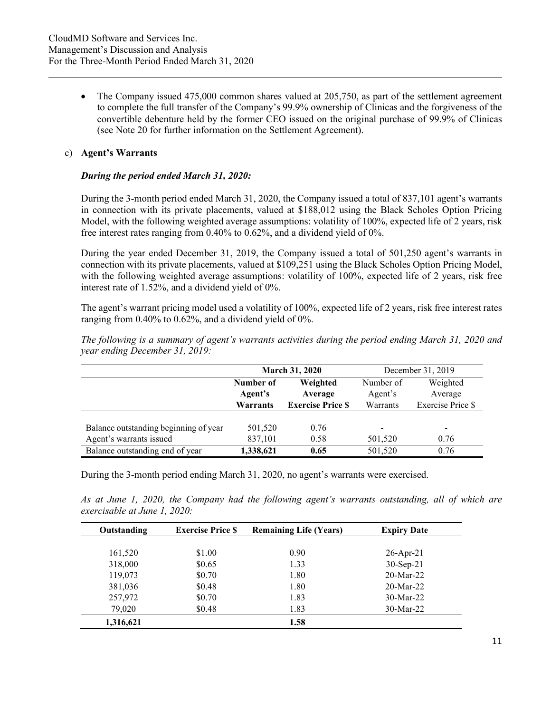• The Company issued 475,000 common shares valued at 205,750, as part of the settlement agreement to complete the full transfer of the Company's 99.9% ownership of Clinicas and the forgiveness of the convertible debenture held by the former CEO issued on the original purchase of 99.9% of Clinicas (see Note 20 for further information on the Settlement Agreement).

#### c) **Agent's Warrants**

#### *During the period ended March 31, 2020:*

During the 3-month period ended March 31, 2020, the Company issued a total of 837,101 agent's warrants in connection with its private placements, valued at \$188,012 using the Black Scholes Option Pricing Model, with the following weighted average assumptions: volatility of 100%, expected life of 2 years, risk free interest rates ranging from 0.40% to 0.62%, and a dividend yield of 0%.

During the year ended December 31, 2019, the Company issued a total of 501,250 agent's warrants in connection with its private placements, valued at \$109,251 using the Black Scholes Option Pricing Model, with the following weighted average assumptions: volatility of 100%, expected life of 2 years, risk free interest rate of 1.52%, and a dividend yield of 0%.

The agent's warrant pricing model used a volatility of 100%, expected life of 2 years, risk free interest rates ranging from 0.40% to 0.62%, and a dividend yield of 0%.

|                                       | <b>March 31, 2020</b> |                          |                          | December 31, 2019        |  |
|---------------------------------------|-----------------------|--------------------------|--------------------------|--------------------------|--|
|                                       | Number of             | Weighted                 | Number of                | Weighted                 |  |
|                                       | Agent's               | Average                  | Agent's                  | Average                  |  |
|                                       | Warrants              | <b>Exercise Price \$</b> | Warrants                 | Exercise Price \$        |  |
|                                       |                       |                          |                          |                          |  |
| Balance outstanding beginning of year | 501,520               | 0.76                     | $\overline{\phantom{a}}$ | $\overline{\phantom{a}}$ |  |
| Agent's warrants issued               | 837,101               | 0.58                     | 501,520                  | 0.76                     |  |
| Balance outstanding end of year       | 1,338,621             | 0.65                     | 501,520                  | 0.76                     |  |

*The following is a summary of agent's warrants activities during the period ending March 31, 2020 and year ending December 31, 2019:* 

During the 3-month period ending March 31, 2020, no agent's warrants were exercised.

*As at June 1, 2020, the Company had the following agent's warrants outstanding, all of which are exercisable at June 1, 2020:* 

| Outstanding | <b>Exercise Price \$</b> | <b>Remaining Life (Years)</b> | <b>Expiry Date</b> |
|-------------|--------------------------|-------------------------------|--------------------|
|             |                          |                               |                    |
| 161,520     | \$1.00                   | 0.90                          | $26$ -Apr-21       |
| 318,000     | \$0.65                   | 1.33                          | $30-Sep-21$        |
| 119,073     | \$0.70                   | 1.80                          | $20$ -Mar-22       |
| 381,036     | \$0.48                   | 1.80                          | $20$ -Mar-22       |
| 257,972     | \$0.70                   | 1.83                          | $30$ -Mar-22       |
| 79,020      | \$0.48                   | 1.83                          | $30$ -Mar-22       |
| 1,316,621   |                          | 1.58                          |                    |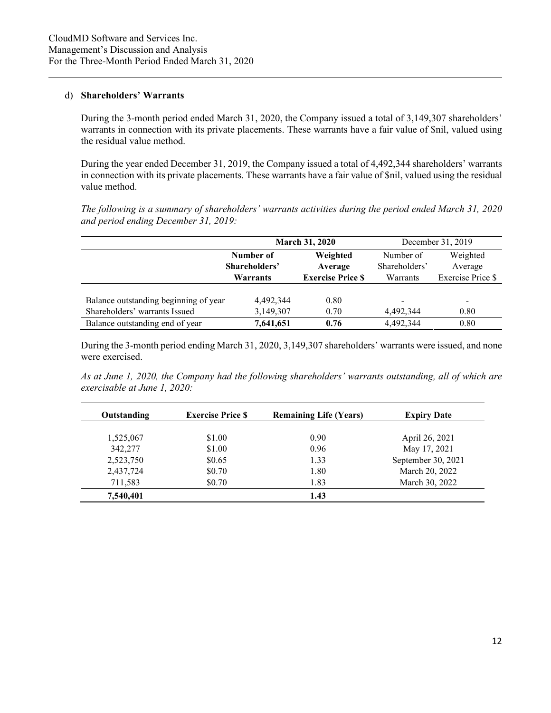#### d) **Shareholders' Warrants**

During the 3-month period ended March 31, 2020, the Company issued a total of 3,149,307 shareholders' warrants in connection with its private placements. These warrants have a fair value of \$nil, valued using the residual value method.

During the year ended December 31, 2019, the Company issued a total of 4,492,344 shareholders' warrants in connection with its private placements. These warrants have a fair value of \$nil, valued using the residual value method.

*The following is a summary of shareholders' warrants activities during the period ended March 31, 2020 and period ending December 31, 2019:* 

|                                       |               | <b>March 31, 2020</b>    |               | December 31, 2019                        |  |
|---------------------------------------|---------------|--------------------------|---------------|------------------------------------------|--|
|                                       | Number of     | Weighted                 | Number of     | Weighted<br>Average<br>Exercise Price \$ |  |
|                                       | Shareholders' | Average                  | Shareholders' |                                          |  |
|                                       | Warrants      | <b>Exercise Price \$</b> | Warrants      |                                          |  |
|                                       |               |                          |               |                                          |  |
| Balance outstanding beginning of year | 4.492.344     | 0.80                     |               | $\overline{\phantom{a}}$                 |  |
| Shareholders' warrants Issued         | 3,149,307     | 0.70                     | 4,492,344     | 0.80                                     |  |
| Balance outstanding end of year       | 7,641,651     | 0.76                     | 4,492,344     | 0.80                                     |  |

During the 3-month period ending March 31, 2020, 3,149,307 shareholders' warrants were issued, and none were exercised.

*As at June 1, 2020, the Company had the following shareholders' warrants outstanding, all of which are exercisable at June 1, 2020:* 

| Outstanding | <b>Exercise Price S</b> | <b>Remaining Life (Years)</b> | <b>Expiry Date</b> |
|-------------|-------------------------|-------------------------------|--------------------|
|             |                         |                               |                    |
| 1,525,067   | \$1.00                  | 0.90                          | April 26, 2021     |
| 342,277     | \$1.00                  | 0.96                          | May 17, 2021       |
| 2,523,750   | \$0.65                  | 1.33                          | September 30, 2021 |
| 2,437,724   | \$0.70                  | 1.80                          | March 20, 2022     |
| 711,583     | \$0.70                  | 1.83                          | March 30, 2022     |
| 7,540,401   |                         | 1.43                          |                    |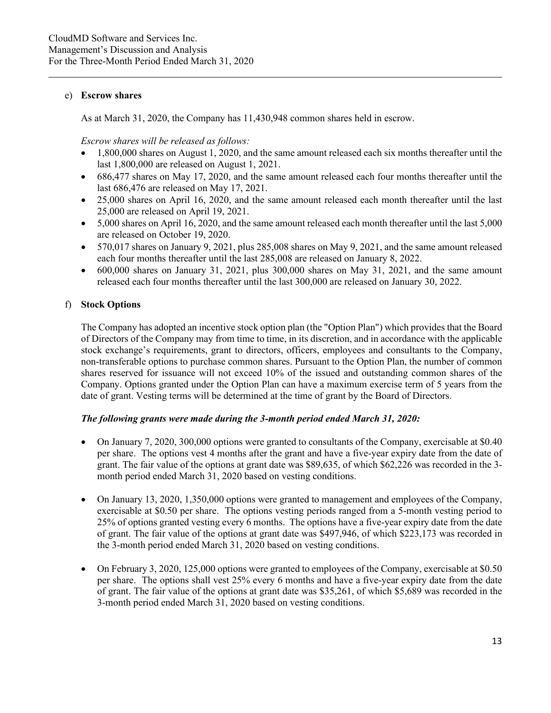#### e) **Escrow shares**

As at March 31, 2020, the Company has 11,430,948 common shares held in escrow.

*Escrow shares will be released as follows:*

- 1,800,000 shares on August 1, 2020, and the same amount released each six months thereafter until the last 1,800,000 are released on August 1, 2021.
- 686,477 shares on May 17, 2020, and the same amount released each four months thereafter until the last 686,476 are released on May 17, 2021.
- 25,000 shares on April 16, 2020, and the same amount released each month thereafter until the last 25,000 are released on April 19, 2021.
- 5,000 shares on April 16, 2020, and the same amount released each month thereafter until the last 5,000 are released on October 19, 2020.
- 570,017 shares on January 9, 2021, plus 285,008 shares on May 9, 2021, and the same amount released each four months thereafter until the last 285,008 are released on January 8, 2022.
- $\bullet$  600,000 shares on January 31, 2021, plus 300,000 shares on May 31, 2021, and the same amount released each four months thereafter until the last 300,000 are released on January 30, 2022.

## f) **Stock Options**

The Company has adopted an incentive stock option plan (the "Option Plan") which provides that the Board of Directors of the Company may from time to time, in its discretion, and in accordance with the applicable stock exchange's requirements, grant to directors, officers, employees and consultants to the Company, non-transferable options to purchase common shares. Pursuant to the Option Plan, the number of common shares reserved for issuance will not exceed 10% of the issued and outstanding common shares of the Company. Options granted under the Option Plan can have a maximum exercise term of 5 years from the date of grant. Vesting terms will be determined at the time of grant by the Board of Directors.

#### *The following grants were made during the 3-month period ended March 31, 2020:*

- On January 7, 2020, 300,000 options were granted to consultants of the Company, exercisable at \$0.40 per share. The options vest 4 months after the grant and have a five-year expiry date from the date of grant. The fair value of the options at grant date was \$89,635, of which \$62,226 was recorded in the 3 month period ended March 31, 2020 based on vesting conditions.
- On January 13, 2020, 1,350,000 options were granted to management and employees of the Company, exercisable at \$0.50 per share. The options vesting periods ranged from a 5-month vesting period to 25% of options granted vesting every 6 months. The options have a five-year expiry date from the date of grant. The fair value of the options at grant date was \$497,946, of which \$223,173 was recorded in the 3-month period ended March 31, 2020 based on vesting conditions.
- On February 3, 2020, 125,000 options were granted to employees of the Company, exercisable at \$0.50 per share. The options shall vest 25% every 6 months and have a five-year expiry date from the date of grant. The fair value of the options at grant date was \$35,261, of which \$5,689 was recorded in the 3-month period ended March 31, 2020 based on vesting conditions.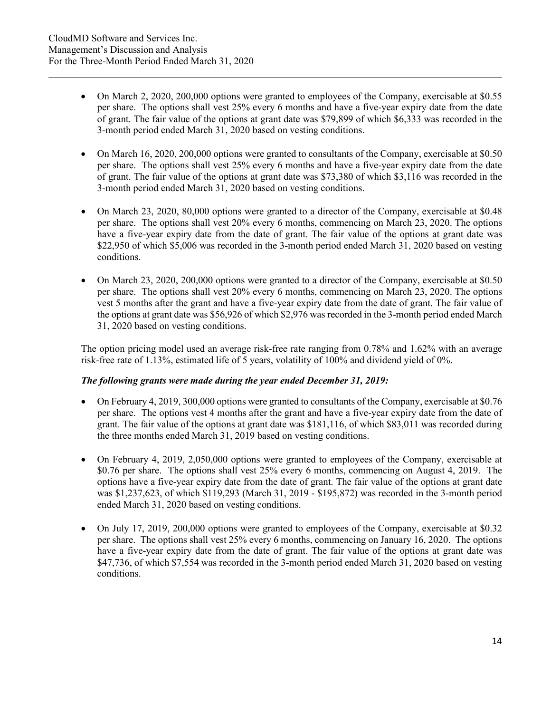- On March 2, 2020, 200,000 options were granted to employees of the Company, exercisable at \$0.55 per share. The options shall vest 25% every 6 months and have a five-year expiry date from the date of grant. The fair value of the options at grant date was \$79,899 of which \$6,333 was recorded in the 3-month period ended March 31, 2020 based on vesting conditions.
- On March 16, 2020, 200,000 options were granted to consultants of the Company, exercisable at \$0.50 per share. The options shall vest 25% every 6 months and have a five-year expiry date from the date of grant. The fair value of the options at grant date was \$73,380 of which \$3,116 was recorded in the 3-month period ended March 31, 2020 based on vesting conditions.
- On March 23, 2020, 80,000 options were granted to a director of the Company, exercisable at \$0.48 per share. The options shall vest 20% every 6 months, commencing on March 23, 2020. The options have a five-year expiry date from the date of grant. The fair value of the options at grant date was \$22,950 of which \$5,006 was recorded in the 3-month period ended March 31, 2020 based on vesting conditions.
- On March 23, 2020, 200,000 options were granted to a director of the Company, exercisable at \$0.50 per share. The options shall vest 20% every 6 months, commencing on March 23, 2020. The options vest 5 months after the grant and have a five-year expiry date from the date of grant. The fair value of the options at grant date was \$56,926 of which \$2,976 was recorded in the 3-month period ended March 31, 2020 based on vesting conditions.

The option pricing model used an average risk-free rate ranging from 0.78% and 1.62% with an average risk-free rate of 1.13%, estimated life of 5 years, volatility of 100% and dividend yield of 0%.

## *The following grants were made during the year ended December 31, 2019:*

- On February 4, 2019, 300,000 options were granted to consultants of the Company, exercisable at \$0.76 per share. The options vest 4 months after the grant and have a five-year expiry date from the date of grant. The fair value of the options at grant date was \$181,116, of which \$83,011 was recorded during the three months ended March 31, 2019 based on vesting conditions.
- On February 4, 2019, 2,050,000 options were granted to employees of the Company, exercisable at \$0.76 per share. The options shall vest 25% every 6 months, commencing on August 4, 2019. The options have a five-year expiry date from the date of grant. The fair value of the options at grant date was \$1,237,623, of which \$119,293 (March 31, 2019 - \$195,872) was recorded in the 3-month period ended March 31, 2020 based on vesting conditions.
- On July 17, 2019, 200,000 options were granted to employees of the Company, exercisable at \$0.32 per share. The options shall vest 25% every 6 months, commencing on January 16, 2020. The options have a five-year expiry date from the date of grant. The fair value of the options at grant date was \$47,736, of which \$7,554 was recorded in the 3-month period ended March 31, 2020 based on vesting conditions.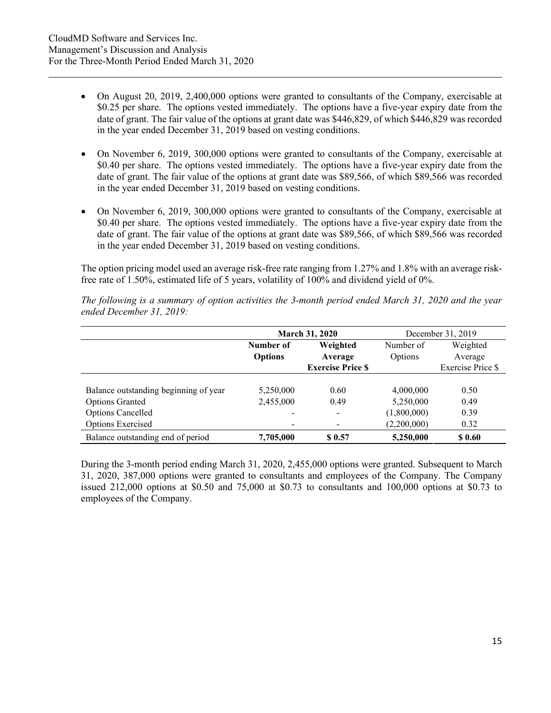- On August 20, 2019, 2,400,000 options were granted to consultants of the Company, exercisable at \$0.25 per share. The options vested immediately. The options have a five-year expiry date from the date of grant. The fair value of the options at grant date was \$446,829, of which \$446,829 was recorded in the year ended December 31, 2019 based on vesting conditions.
- On November 6, 2019, 300,000 options were granted to consultants of the Company, exercisable at \$0.40 per share. The options vested immediately. The options have a five-year expiry date from the date of grant. The fair value of the options at grant date was \$89,566, of which \$89,566 was recorded in the year ended December 31, 2019 based on vesting conditions.
- On November 6, 2019, 300,000 options were granted to consultants of the Company, exercisable at \$0.40 per share. The options vested immediately. The options have a five-year expiry date from the date of grant. The fair value of the options at grant date was \$89,566, of which \$89,566 was recorded in the year ended December 31, 2019 based on vesting conditions.

The option pricing model used an average risk-free rate ranging from 1.27% and 1.8% with an average riskfree rate of 1.50%, estimated life of 5 years, volatility of 100% and dividend yield of 0%.

|                                       | March 31, 2020           |                          |             | December 31, 2019 |
|---------------------------------------|--------------------------|--------------------------|-------------|-------------------|
|                                       | Number of                | Weighted                 | Number of   | Weighted          |
|                                       | <b>Options</b>           | Average                  | Options     | Average           |
|                                       |                          | <b>Exercise Price S</b>  |             | Exercise Price \$ |
|                                       |                          |                          |             |                   |
| Balance outstanding beginning of year | 5,250,000                | 0.60                     | 4,000,000   | 0.50              |
| <b>Options Granted</b>                | 2,455,000                | 0.49                     | 5,250,000   | 0.49              |
| <b>Options Cancelled</b>              | $\overline{\phantom{a}}$ | $\overline{\phantom{a}}$ | (1,800,000) | 0.39              |
| Options Exercised                     |                          |                          | (2,200,000) | 0.32              |
| Balance outstanding end of period     | 7,705,000                | \$ 0.57                  | 5,250,000   | \$0.60            |

*The following is a summary of option activities the 3-month period ended March 31, 2020 and the year ended December 31, 2019:* 

During the 3-month period ending March 31, 2020, 2,455,000 options were granted. Subsequent to March 31, 2020, 387,000 options were granted to consultants and employees of the Company. The Company issued 212,000 options at \$0.50 and 75,000 at \$0.73 to consultants and 100,000 options at \$0.73 to employees of the Company.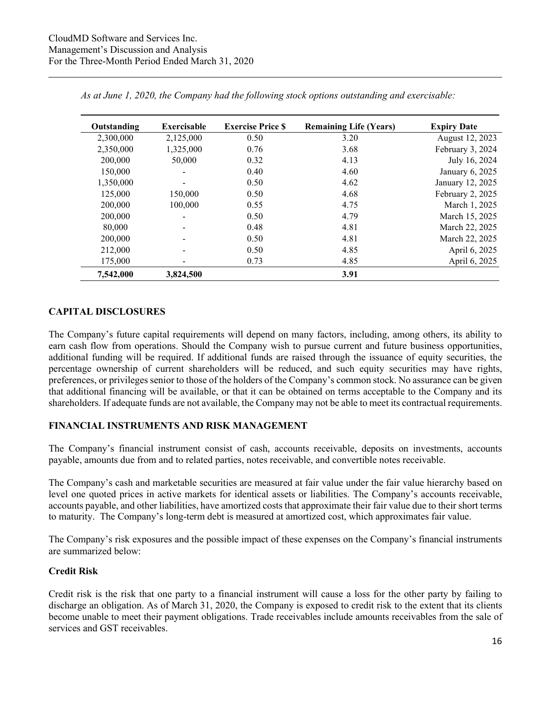| Outstanding | Exercisable    | <b>Exercise Price \$</b> | <b>Remaining Life (Years)</b> | <b>Expiry Date</b> |
|-------------|----------------|--------------------------|-------------------------------|--------------------|
| 2,300,000   | 2,125,000      | 0.50                     | 3.20                          | August 12, 2023    |
| 2,350,000   | 1,325,000      | 0.76                     | 3.68                          | February 3, 2024   |
| 200,000     | 50,000         | 0.32                     | 4.13                          | July 16, 2024      |
| 150,000     | $\blacksquare$ | 0.40                     | 4.60                          | January 6, 2025    |
| 1,350,000   |                | 0.50                     | 4.62                          | January 12, 2025   |
| 125,000     | 150,000        | 0.50                     | 4.68                          | February 2, 2025   |
| 200,000     | 100,000        | 0.55                     | 4.75                          | March 1, 2025      |
| 200,000     |                | 0.50                     | 4.79                          | March 15, 2025     |
| 80,000      |                | 0.48                     | 4.81                          | March 22, 2025     |
| 200,000     |                | 0.50                     | 4.81                          | March 22, 2025     |
| 212,000     |                | 0.50                     | 4.85                          | April 6, 2025      |
| 175,000     |                | 0.73                     | 4.85                          | April 6, 2025      |
| 7,542,000   | 3,824,500      |                          | 3.91                          |                    |

*As at June 1, 2020, the Company had the following stock options outstanding and exercisable:* 

## **CAPITAL DISCLOSURES**

The Company's future capital requirements will depend on many factors, including, among others, its ability to earn cash flow from operations. Should the Company wish to pursue current and future business opportunities, additional funding will be required. If additional funds are raised through the issuance of equity securities, the percentage ownership of current shareholders will be reduced, and such equity securities may have rights, preferences, or privileges senior to those of the holders of the Company's common stock. No assurance can be given that additional financing will be available, or that it can be obtained on terms acceptable to the Company and its shareholders. If adequate funds are not available, the Company may not be able to meet its contractual requirements.

## **FINANCIAL INSTRUMENTS AND RISK MANAGEMENT**

The Company's financial instrument consist of cash, accounts receivable, deposits on investments, accounts payable, amounts due from and to related parties, notes receivable, and convertible notes receivable.

The Company's cash and marketable securities are measured at fair value under the fair value hierarchy based on level one quoted prices in active markets for identical assets or liabilities. The Company's accounts receivable, accounts payable, and other liabilities, have amortized costs that approximate their fair value due to their short terms to maturity. The Company's long-term debt is measured at amortized cost, which approximates fair value.

The Company's risk exposures and the possible impact of these expenses on the Company's financial instruments are summarized below:

#### **Credit Risk**

Credit risk is the risk that one party to a financial instrument will cause a loss for the other party by failing to discharge an obligation. As of March 31, 2020, the Company is exposed to credit risk to the extent that its clients become unable to meet their payment obligations. Trade receivables include amounts receivables from the sale of services and GST receivables.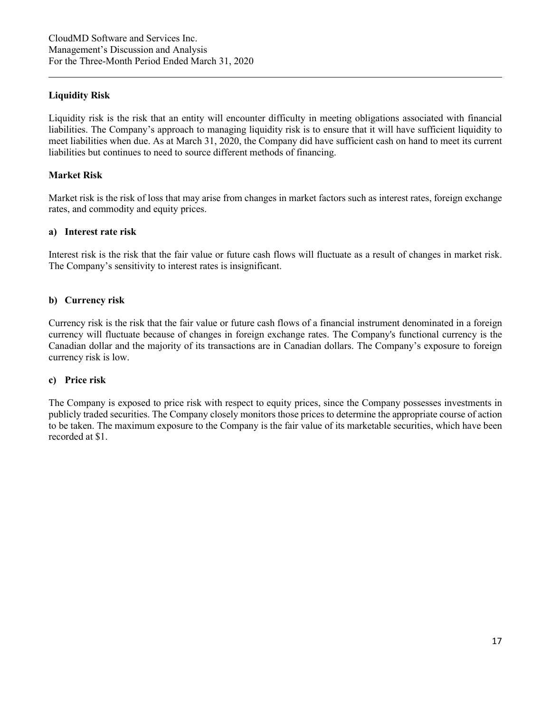### **Liquidity Risk**

Liquidity risk is the risk that an entity will encounter difficulty in meeting obligations associated with financial liabilities. The Company's approach to managing liquidity risk is to ensure that it will have sufficient liquidity to meet liabilities when due. As at March 31, 2020, the Company did have sufficient cash on hand to meet its current liabilities but continues to need to source different methods of financing.

#### **Market Risk**

Market risk is the risk of loss that may arise from changes in market factors such as interest rates, foreign exchange rates, and commodity and equity prices.

#### **a) Interest rate risk**

Interest risk is the risk that the fair value or future cash flows will fluctuate as a result of changes in market risk. The Company's sensitivity to interest rates is insignificant.

#### **b) Currency risk**

Currency risk is the risk that the fair value or future cash flows of a financial instrument denominated in a foreign currency will fluctuate because of changes in foreign exchange rates. The Company's functional currency is the Canadian dollar and the majority of its transactions are in Canadian dollars. The Company's exposure to foreign currency risk is low.

#### **c) Price risk**

The Company is exposed to price risk with respect to equity prices, since the Company possesses investments in publicly traded securities. The Company closely monitors those prices to determine the appropriate course of action to be taken. The maximum exposure to the Company is the fair value of its marketable securities, which have been recorded at \$1.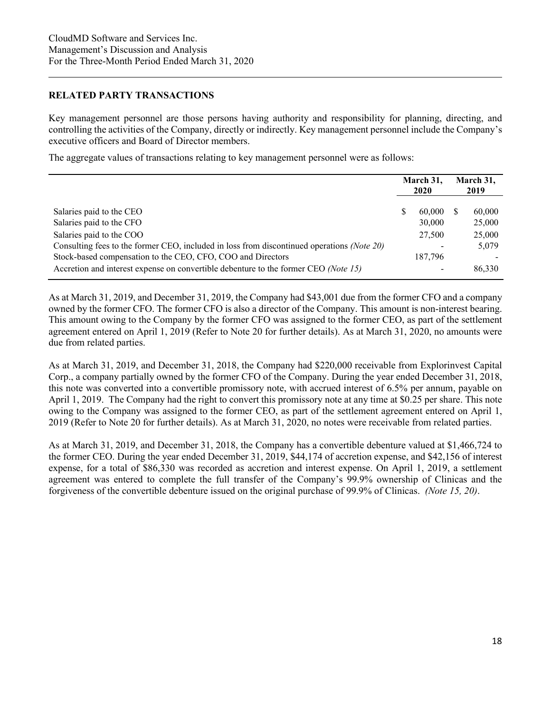#### **RELATED PARTY TRANSACTIONS**

Key management personnel are those persons having authority and responsibility for planning, directing, and controlling the activities of the Company, directly or indirectly. Key management personnel include the Company's executive officers and Board of Director members.

The aggregate values of transactions relating to key management personnel were as follows:

|                                                                                                                                                                                       | March 31,<br><b>2020</b> |                   | March 31,<br>2019 |                  |
|---------------------------------------------------------------------------------------------------------------------------------------------------------------------------------------|--------------------------|-------------------|-------------------|------------------|
| Salaries paid to the CEO<br>Salaries paid to the CFO                                                                                                                                  | S                        | 60,000<br>30,000  |                   | 60,000<br>25,000 |
| Salaries paid to the COO<br>Consulting fees to the former CEO, included in loss from discontinued operations (Note 20)<br>Stock-based compensation to the CEO, CFO, COO and Directors |                          | 27,500<br>187,796 |                   | 25,000<br>5,079  |
| Accretion and interest expense on convertible debenture to the former CEO (Note 15)                                                                                                   |                          |                   |                   | 86,330           |

As at March 31, 2019, and December 31, 2019, the Company had \$43,001 due from the former CFO and a company owned by the former CFO. The former CFO is also a director of the Company. This amount is non-interest bearing. This amount owing to the Company by the former CFO was assigned to the former CEO, as part of the settlement agreement entered on April 1, 2019 (Refer to Note 20 for further details). As at March 31, 2020, no amounts were due from related parties.

As at March 31, 2019, and December 31, 2018, the Company had \$220,000 receivable from Explorinvest Capital Corp., a company partially owned by the former CFO of the Company. During the year ended December 31, 2018, this note was converted into a convertible promissory note, with accrued interest of 6.5% per annum, payable on April 1, 2019. The Company had the right to convert this promissory note at any time at \$0.25 per share. This note owing to the Company was assigned to the former CEO, as part of the settlement agreement entered on April 1, 2019 (Refer to Note 20 for further details). As at March 31, 2020, no notes were receivable from related parties.

As at March 31, 2019, and December 31, 2018, the Company has a convertible debenture valued at \$1,466,724 to the former CEO. During the year ended December 31, 2019, \$44,174 of accretion expense, and \$42,156 of interest expense, for a total of \$86,330 was recorded as accretion and interest expense. On April 1, 2019, a settlement agreement was entered to complete the full transfer of the Company's 99.9% ownership of Clinicas and the forgiveness of the convertible debenture issued on the original purchase of 99.9% of Clinicas. *(Note 15, 20)*.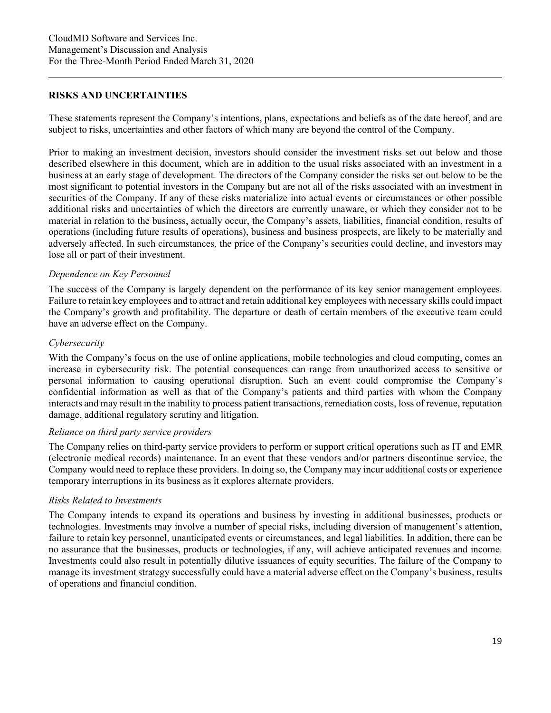#### **RISKS AND UNCERTAINTIES**

These statements represent the Company's intentions, plans, expectations and beliefs as of the date hereof, and are subject to risks, uncertainties and other factors of which many are beyond the control of the Company.

Prior to making an investment decision, investors should consider the investment risks set out below and those described elsewhere in this document, which are in addition to the usual risks associated with an investment in a business at an early stage of development. The directors of the Company consider the risks set out below to be the most significant to potential investors in the Company but are not all of the risks associated with an investment in securities of the Company. If any of these risks materialize into actual events or circumstances or other possible additional risks and uncertainties of which the directors are currently unaware, or which they consider not to be material in relation to the business, actually occur, the Company's assets, liabilities, financial condition, results of operations (including future results of operations), business and business prospects, are likely to be materially and adversely affected. In such circumstances, the price of the Company's securities could decline, and investors may lose all or part of their investment.

#### *Dependence on Key Personnel*

The success of the Company is largely dependent on the performance of its key senior management employees. Failure to retain key employees and to attract and retain additional key employees with necessary skills could impact the Company's growth and profitability. The departure or death of certain members of the executive team could have an adverse effect on the Company.

#### *Cybersecurity*

With the Company's focus on the use of online applications, mobile technologies and cloud computing, comes an increase in cybersecurity risk. The potential consequences can range from unauthorized access to sensitive or personal information to causing operational disruption. Such an event could compromise the Company's confidential information as well as that of the Company's patients and third parties with whom the Company interacts and may result in the inability to process patient transactions, remediation costs, loss of revenue, reputation damage, additional regulatory scrutiny and litigation.

#### *Reliance on third party service providers*

The Company relies on third-party service providers to perform or support critical operations such as IT and EMR (electronic medical records) maintenance. In an event that these vendors and/or partners discontinue service, the Company would need to replace these providers. In doing so, the Company may incur additional costs or experience temporary interruptions in its business as it explores alternate providers.

#### *Risks Related to Investments*

The Company intends to expand its operations and business by investing in additional businesses, products or technologies. Investments may involve a number of special risks, including diversion of management's attention, failure to retain key personnel, unanticipated events or circumstances, and legal liabilities. In addition, there can be no assurance that the businesses, products or technologies, if any, will achieve anticipated revenues and income. Investments could also result in potentially dilutive issuances of equity securities. The failure of the Company to manage its investment strategy successfully could have a material adverse effect on the Company's business, results of operations and financial condition.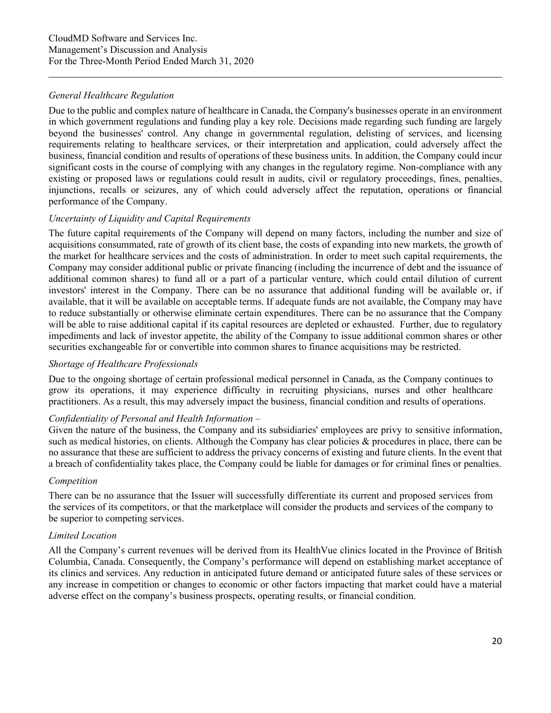## *General Healthcare Regulation*

Due to the public and complex nature of healthcare in Canada, the Company's businesses operate in an environment in which government regulations and funding play a key role. Decisions made regarding such funding are largely beyond the businesses' control. Any change in governmental regulation, delisting of services, and licensing requirements relating to healthcare services, or their interpretation and application, could adversely affect the business, financial condition and results of operations of these business units. In addition, the Company could incur significant costs in the course of complying with any changes in the regulatory regime. Non-compliance with any existing or proposed laws or regulations could result in audits, civil or regulatory proceedings, fines, penalties, injunctions, recalls or seizures, any of which could adversely affect the reputation, operations or financial performance of the Company.

## *Uncertainty of Liquidity and Capital Requirements*

The future capital requirements of the Company will depend on many factors, including the number and size of acquisitions consummated, rate of growth of its client base, the costs of expanding into new markets, the growth of the market for healthcare services and the costs of administration. In order to meet such capital requirements, the Company may consider additional public or private financing (including the incurrence of debt and the issuance of additional common shares) to fund all or a part of a particular venture, which could entail dilution of current investors' interest in the Company. There can be no assurance that additional funding will be available or, if available, that it will be available on acceptable terms. If adequate funds are not available, the Company may have to reduce substantially or otherwise eliminate certain expenditures. There can be no assurance that the Company will be able to raise additional capital if its capital resources are depleted or exhausted. Further, due to regulatory impediments and lack of investor appetite, the ability of the Company to issue additional common shares or other securities exchangeable for or convertible into common shares to finance acquisitions may be restricted.

#### *Shortage of Healthcare Professionals*

Due to the ongoing shortage of certain professional medical personnel in Canada, as the Company continues to grow its operations, it may experience difficulty in recruiting physicians, nurses and other healthcare practitioners. As a result, this may adversely impact the business, financial condition and results of operations.

#### *Confidentiality of Personal and Health Information –*

Given the nature of the business, the Company and its subsidiaries' employees are privy to sensitive information, such as medical histories, on clients. Although the Company has clear policies & procedures in place, there can be no assurance that these are sufficient to address the privacy concerns of existing and future clients. In the event that a breach of confidentiality takes place, the Company could be liable for damages or for criminal fines or penalties.

#### *Competition*

There can be no assurance that the Issuer will successfully differentiate its current and proposed services from the services of its competitors, or that the marketplace will consider the products and services of the company to be superior to competing services.

#### *Limited Location*

All the Company's current revenues will be derived from its HealthVue clinics located in the Province of British Columbia, Canada. Consequently, the Company's performance will depend on establishing market acceptance of its clinics and services. Any reduction in anticipated future demand or anticipated future sales of these services or any increase in competition or changes to economic or other factors impacting that market could have a material adverse effect on the company's business prospects, operating results, or financial condition.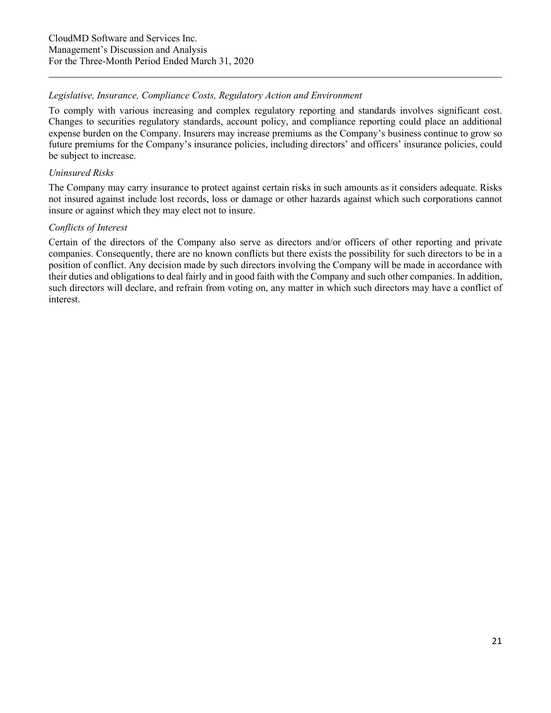## *Legislative, Insurance, Compliance Costs, Regulatory Action and Environment*

To comply with various increasing and complex regulatory reporting and standards involves significant cost. Changes to securities regulatory standards, account policy, and compliance reporting could place an additional expense burden on the Company. Insurers may increase premiums as the Company's business continue to grow so future premiums for the Company's insurance policies, including directors' and officers' insurance policies, could be subject to increase.

## *Uninsured Risks*

The Company may carry insurance to protect against certain risks in such amounts as it considers adequate. Risks not insured against include lost records, loss or damage or other hazards against which such corporations cannot insure or against which they may elect not to insure.

## *Conflicts of Interest*

Certain of the directors of the Company also serve as directors and/or officers of other reporting and private companies. Consequently, there are no known conflicts but there exists the possibility for such directors to be in a position of conflict. Any decision made by such directors involving the Company will be made in accordance with their duties and obligations to deal fairly and in good faith with the Company and such other companies. In addition, such directors will declare, and refrain from voting on, any matter in which such directors may have a conflict of interest.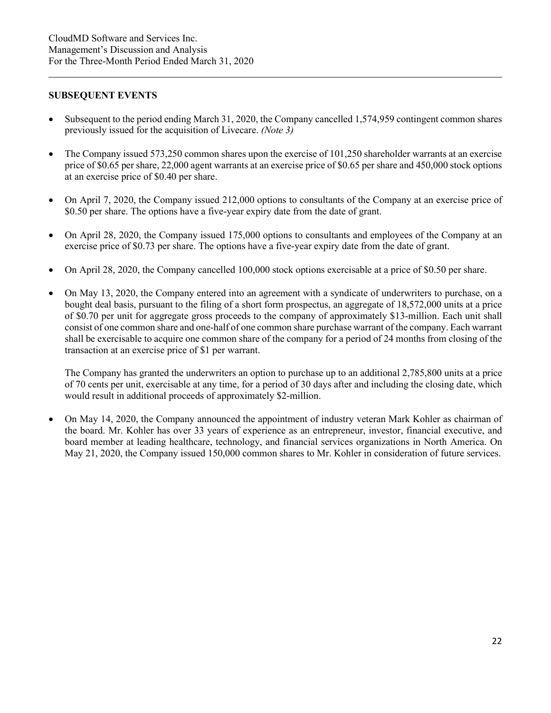#### **SUBSEQUENT EVENTS**

- Subsequent to the period ending March 31, 2020, the Company cancelled 1,574,959 contingent common shares previously issued for the acquisition of Livecare. *(Note 3)*
- The Company issued 573,250 common shares upon the exercise of 101,250 shareholder warrants at an exercise price of \$0.65 per share, 22,000 agent warrants at an exercise price of \$0.65 per share and 450,000 stock options at an exercise price of \$0.40 per share.
- On April 7, 2020, the Company issued 212,000 options to consultants of the Company at an exercise price of \$0.50 per share. The options have a five-year expiry date from the date of grant.
- On April 28, 2020, the Company issued 175,000 options to consultants and employees of the Company at an exercise price of \$0.73 per share. The options have a five-year expiry date from the date of grant.
- On April 28, 2020, the Company cancelled 100,000 stock options exercisable at a price of \$0.50 per share.
- On May 13, 2020, the Company entered into an agreement with a syndicate of underwriters to purchase, on a bought deal basis, pursuant to the filing of a short form prospectus, an aggregate of 18,572,000 units at a price of \$0.70 per unit for aggregate gross proceeds to the company of approximately \$13-million. Each unit shall consist of one common share and one-half of one common share purchase warrant of the company. Each warrant shall be exercisable to acquire one common share of the company for a period of 24 months from closing of the transaction at an exercise price of \$1 per warrant.

The Company has granted the underwriters an option to purchase up to an additional 2,785,800 units at a price of 70 cents per unit, exercisable at any time, for a period of 30 days after and including the closing date, which would result in additional proceeds of approximately \$2-million.

• On May 14, 2020, the Company announced the appointment of industry veteran Mark Kohler as chairman of the board. Mr. Kohler has over 33 years of experience as an entrepreneur, investor, financial executive, and board member at leading healthcare, technology, and financial services organizations in North America. On May 21, 2020, the Company issued 150,000 common shares to Mr. Kohler in consideration of future services.